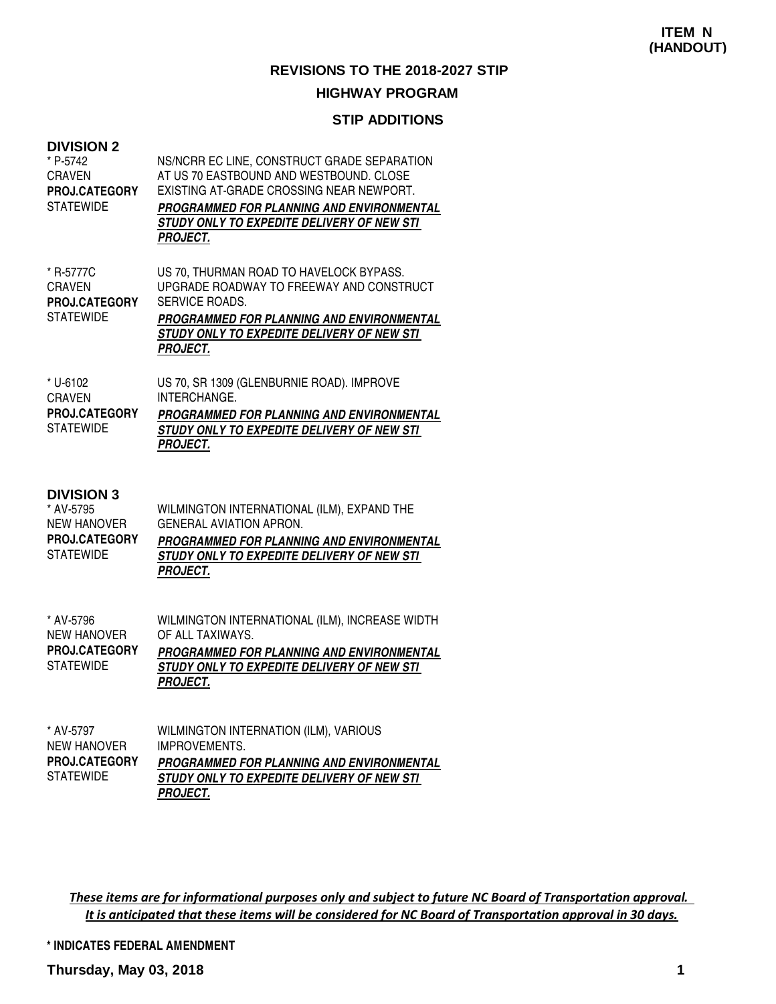#### **HIGHWAY PROGRAM**

#### **STIP ADDITIONS**

| <b>DIVISION 2</b><br>* P-5742<br><b>CRAVEN</b><br><b>PROJ.CATEGORY</b><br><b>STATEWIDE</b>       | NS/NCRR EC LINE, CONSTRUCT GRADE SEPARATION<br>AT US 70 EASTBOUND AND WESTBOUND, CLOSE<br>EXISTING AT-GRADE CROSSING NEAR NEWPORT.<br>PROGRAMMED FOR PLANNING AND ENVIRONMENTAL<br>STUDY ONLY TO EXPEDITE DELIVERY OF NEW STI<br><b>PROJECT.</b> |
|--------------------------------------------------------------------------------------------------|--------------------------------------------------------------------------------------------------------------------------------------------------------------------------------------------------------------------------------------------------|
| * R-5777C<br><b>CRAVEN</b><br>PROJ.CATEGORY<br><b>STATEWIDE</b>                                  | US 70, THURMAN ROAD TO HAVELOCK BYPASS.<br>UPGRADE ROADWAY TO FREEWAY AND CONSTRUCT<br>SERVICE ROADS.<br><b>PROGRAMMED FOR PLANNING AND ENVIRONMENTAL</b><br>STUDY ONLY TO EXPEDITE DELIVERY OF NEW STI<br><b>PROJECT.</b>                       |
| * U-6102<br><b>CRAVEN</b><br>PROJ.CATEGORY<br><b>STATEWIDE</b>                                   | US 70, SR 1309 (GLENBURNIE ROAD). IMPROVE<br>INTERCHANGE.<br><b>PROGRAMMED FOR PLANNING AND ENVIRONMENTAL</b><br>STUDY ONLY TO EXPEDITE DELIVERY OF NEW STI<br><b>PROJECT.</b>                                                                   |
| <b>DIVISION 3</b><br>* AV-5795<br><b>NEW HANOVER</b><br><b>PROJ.CATEGORY</b><br><b>STATEWIDE</b> | WILMINGTON INTERNATIONAL (ILM), EXPAND THE<br><b>GENERAL AVIATION APRON.</b><br>PROGRAMMED FOR PLANNING AND ENVIRONMENTAL<br>STUDY ONLY TO EXPEDITE DELIVERY OF NEW STI<br><b>PROJECT.</b>                                                       |
| * AV-5796<br><b>NEW HANOVER</b><br><b>PROJ.CATEGORY</b><br><b>STATEWIDE</b>                      | WILMINGTON INTERNATIONAL (ILM), INCREASE WIDTH<br>OF ALL TAXIWAYS.<br>PROGRAMMED FOR PLANNING AND ENVIRONMENTAL<br>STUDY ONLY TO EXPEDITE DELIVERY OF NEW STI<br><b>PROJECT.</b>                                                                 |
| * AV-5797<br><b>NEW HANOVER</b><br><b>PROJ.CATEGORY</b><br><b>STATEWIDE</b>                      | WILMINGTON INTERNATION (ILM), VARIOUS<br><b>IMPROVEMENTS.</b><br><b>PROGRAMMED FOR PLANNING AND ENVIRONMENTAL</b><br>STUDY ONLY TO EXPEDITE DELIVERY OF NEW STI                                                                                  |

These items are for informational purposes only and subject to future NC Board of Transportation approval. It is anticipated that these items will be considered for NC Board of Transportation approval in 30 days.

**\* INDICATES FEDERAL AMENDMENT**

**PROJECT.**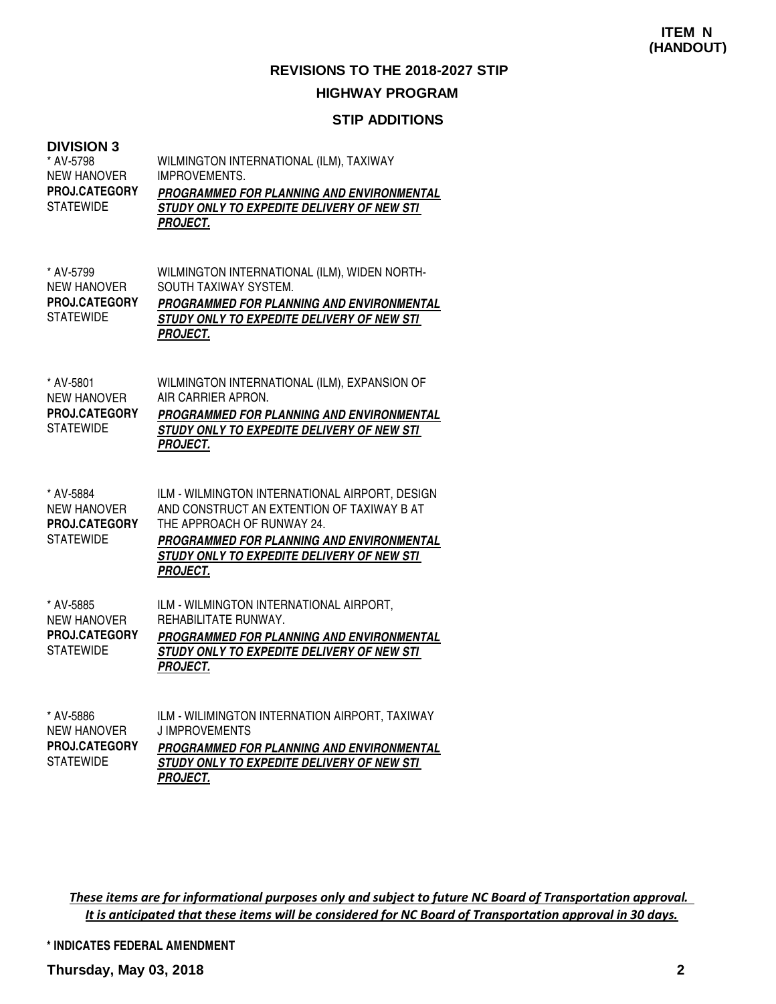#### **STIP ADDITIONS**

#### **DIVISION 3**

| ט ווטוטו וט<br>* AV-5798<br><b>NEW HANOVER</b><br><b>PROJ.CATEGORY</b><br><b>STATEWIDE</b> | WILMINGTON INTERNATIONAL (ILM), TAXIWAY<br><b>IMPROVEMENTS.</b><br>PROGRAMMED FOR PLANNING AND ENVIRONMENTAL<br>STUDY ONLY TO EXPEDITE DELIVERY OF NEW STI<br><b>PROJECT.</b>                                                            |
|--------------------------------------------------------------------------------------------|------------------------------------------------------------------------------------------------------------------------------------------------------------------------------------------------------------------------------------------|
| * AV-5799<br><b>NEW HANOVER</b><br>PROJ.CATEGORY<br><b>STATEWIDE</b>                       | WILMINGTON INTERNATIONAL (ILM), WIDEN NORTH-<br>SOUTH TAXIWAY SYSTEM.<br><b>PROGRAMMED FOR PLANNING AND ENVIRONMENTAL</b><br>STUDY ONLY TO EXPEDITE DELIVERY OF NEW STI<br><b>PROJECT.</b>                                               |
| * AV-5801<br><b>NEW HANOVER</b><br>PROJ.CATEGORY<br><b>STATEWIDE</b>                       | WILMINGTON INTERNATIONAL (ILM), EXPANSION OF<br>AIR CARRIER APRON.<br>PROGRAMMED FOR PLANNING AND ENVIRONMENTAL<br>STUDY ONLY TO EXPEDITE DELIVERY OF NEW STI<br><b>PROJECT.</b>                                                         |
| * AV-5884<br><b>NEW HANOVER</b><br>PROJ.CATEGORY<br><b>STATEWIDE</b>                       | ILM - WILMINGTON INTERNATIONAL AIRPORT, DESIGN<br>AND CONSTRUCT AN EXTENTION OF TAXIWAY B AT<br>THE APPROACH OF RUNWAY 24.<br>PROGRAMMED FOR PLANNING AND ENVIRONMENTAL<br>STUDY ONLY TO EXPEDITE DELIVERY OF NEW STI<br><b>PROJECT.</b> |
| * AV-5885<br><b>NEW HANOVER</b><br>PROJ.CATEGORY<br><b>STATEWIDE</b>                       | ILM - WILMINGTON INTERNATIONAL AIRPORT,<br>REHABILITATE RUNWAY.<br>PROGRAMMED FOR PLANNING AND ENVIRONMENTAL<br>STUDY ONLY TO EXPEDITE DELIVERY OF NEW STI<br><b>PROJECT.</b>                                                            |
| * AV-5886<br><b>NEW HANOVER</b><br>PROJ CATEGORY                                           | ILM - WILIMINGTON INTERNATION AIRPORT, TAXIWAY<br><b>JIMPROVEMENTS</b><br>PROCRAMMED EOR PLANNING AND ENVIRONMENTAL                                                                                                                      |

| <b>PROJ.CATEGORY</b> | <b>PROGRAMMED FOR PLANNING AND ENVIRONMENTAL</b> |
|----------------------|--------------------------------------------------|
| <b>STATEWIDE</b>     | STUDY ONLY TO EXPEDITE DELIVERY OF NEW STI       |
|                      | <i>PROJECT.</i>                                  |

These items are for informational purposes only and subject to future NC Board of Transportation approval. It is anticipated that these items will be considered for NC Board of Transportation approval in 30 days.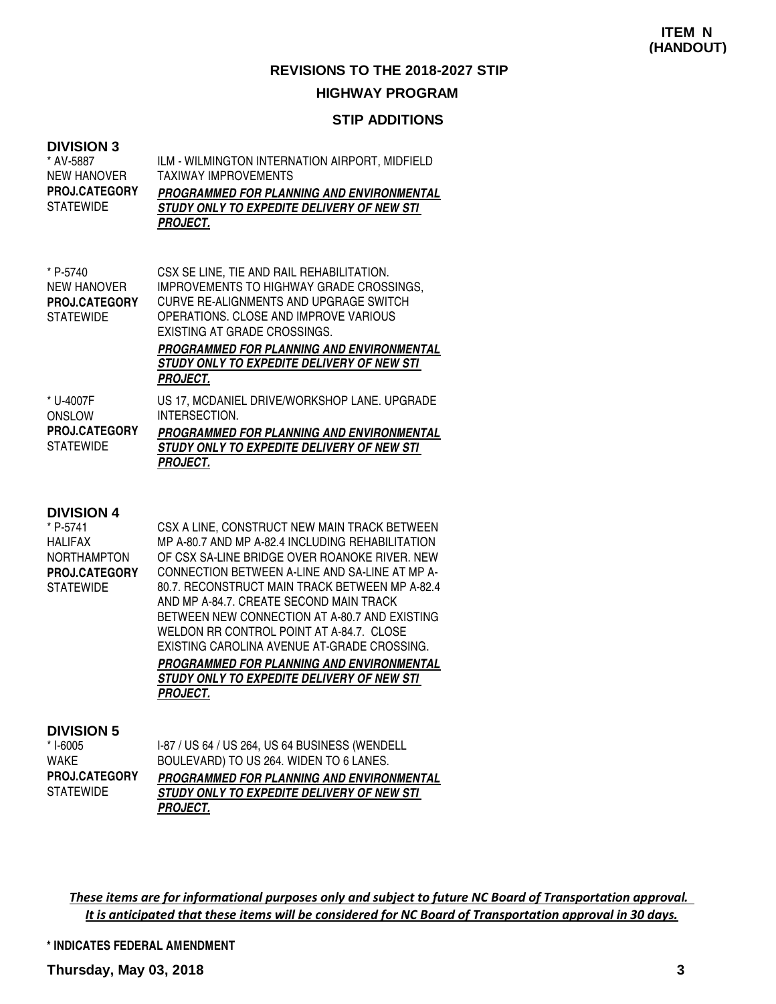#### **HIGHWAY PROGRAM**

#### **STIP ADDITIONS**

#### **DIVISION 3**

| * AV-5887<br><b>NEW HANOVER</b><br><b>PROJ.CATEGORY</b><br><b>STATEWIDE</b> | ILM - WILMINGTON INTERNATION AIRPORT, MIDFIELD<br><b>TAXIWAY IMPROVEMENTS</b><br>PROGRAMMED FOR PLANNING AND ENVIRONMENTAL<br><i>STUDY ONLY TO EXPEDITE DELIVERY OF NEW STI</i><br><b>PROJECT.</b>                                                                                                  |
|-----------------------------------------------------------------------------|-----------------------------------------------------------------------------------------------------------------------------------------------------------------------------------------------------------------------------------------------------------------------------------------------------|
| * P-5740<br><b>NEW HANOVER</b><br><b>PROJ.CATEGORY</b><br><b>STATEWIDE</b>  | CSX SE LINE, TIE AND RAIL REHABILITATION.<br>IMPROVEMENTS TO HIGHWAY GRADE CROSSINGS.<br>CURVE RE-ALIGNMENTS AND UPGRAGE SWITCH<br>OPERATIONS. CLOSE AND IMPROVE VARIOUS<br>EXISTING AT GRADE CROSSINGS.<br>PROGRAMMED FOR PLANNING AND ENVIRONMENTAL<br>STUDY ONLY TO EXPEDITE DELIVERY OF NEW STI |

US 17, MCDANIEL DRIVE/WORKSHOP LANE. UPGRADE INTERSECTION. **PROGRAMMED FOR PLANNING AND ENVIRONMENTAL STUDY ONLY TO EXPEDITE DELIVERY OF NEW STI PROJECT.** \* U-4007F **ONSLOW STATEWIDE PROJ.CATEGORY**

**PROJECT.**

#### **DIVISION 4**

| * P-5741             | CSX A LINE, CONSTRUCT NEW MAIN TRACK BETWEEN      |
|----------------------|---------------------------------------------------|
| HALIFAX              | MP A-80.7 AND MP A-82.4 INCLUDING REHABILITATION  |
| NORTHAMPTON          | OF CSX SA-LINE BRIDGE OVER ROANOKE RIVER. NEW     |
| <b>PROJ.CATEGORY</b> | CONNECTION BETWEEN A-LINE AND SA-LINE AT MP A-    |
| STATEWIDE            | 80.7. RECONSTRUCT MAIN TRACK BETWEEN MP A-82.4    |
|                      | AND MP A-84.7. CREATE SECOND MAIN TRACK           |
|                      | BETWEEN NEW CONNECTION AT A-80.7 AND EXISTING     |
|                      | WELDON RR CONTROL POINT AT A-84.7. CLOSE          |
|                      | EXISTING CAROLINA AVENUE AT-GRADE CROSSING.       |
|                      | PROGRAMMED FOR PLANNING AND ENVIRONMENTAL         |
|                      | <i>STUDY ONLY TO EXPEDITE DELIVERY OF NEW STI</i> |
|                      | <b>PROJECT.</b>                                   |
|                      |                                                   |
|                      |                                                   |

#### **DIVISION 5**

| $* I - 6005$         |
|----------------------|
| WAKE                 |
| <b>PROJ.CATEGORY</b> |
| <b>STATEWIDE</b>     |

I-87 / US 64 / US 264, US 64 BUSINESS (WENDELL BOULEVARD) TO US 264. WIDEN TO 6 LANES. **PROGRAMMED FOR PLANNING AND ENVIRONMENTAL STUDY ONLY TO EXPEDITE DELIVERY OF NEW STI PROJECT.**

These items are for informational purposes only and subject to future NC Board of Transportation approval. It is anticipated that these items will be considered for NC Board of Transportation approval in 30 days.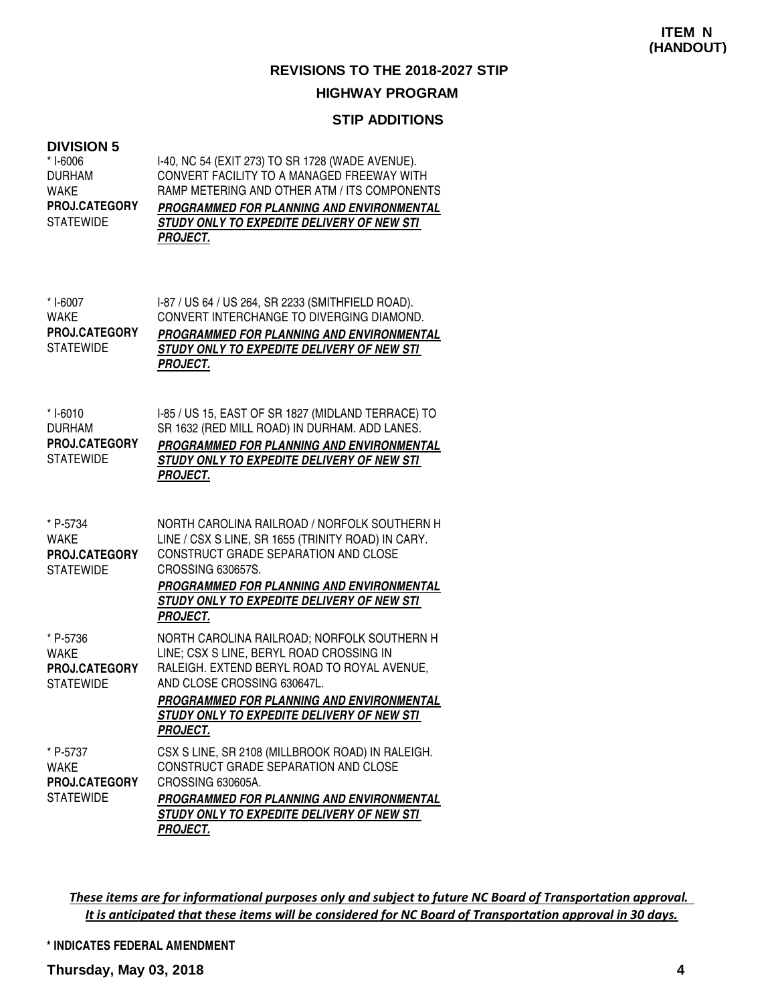#### **HIGHWAY PROGRAM**

#### **STIP ADDITIONS**

### **DIVISION 5**

| DIVISION 5<br>* I-6006<br><b>DURHAM</b><br><b>WAKE</b><br><b>PROJ.CATEGORY</b><br><b>STATEWIDE</b> | I-40, NC 54 (EXIT 273) TO SR 1728 (WADE AVENUE).<br>CONVERT FACILITY TO A MANAGED FREEWAY WITH<br>RAMP METERING AND OTHER ATM / ITS COMPONENTS<br>PROGRAMMED FOR PLANNING AND ENVIRONMENTAL<br><b>STUDY ONLY TO EXPEDITE DELIVERY OF NEW STI</b><br><b>PROJECT.</b>                         |
|----------------------------------------------------------------------------------------------------|---------------------------------------------------------------------------------------------------------------------------------------------------------------------------------------------------------------------------------------------------------------------------------------------|
| * I-6007<br><b>WAKE</b><br>PROJ.CATEGORY<br><b>STATEWIDE</b>                                       | I-87 / US 64 / US 264, SR 2233 (SMITHFIELD ROAD).<br>CONVERT INTERCHANGE TO DIVERGING DIAMOND.<br>PROGRAMMED FOR PLANNING AND ENVIRONMENTAL<br>STUDY ONLY TO EXPEDITE DELIVERY OF NEW STI<br><b>PROJECT.</b>                                                                                |
| * I-6010<br><b>DURHAM</b><br>PROJ.CATEGORY<br><b>STATEWIDE</b>                                     | I-85 / US 15, EAST OF SR 1827 (MIDLAND TERRACE) TO<br>SR 1632 (RED MILL ROAD) IN DURHAM. ADD LANES.<br>PROGRAMMED FOR PLANNING AND ENVIRONMENTAL<br>STUDY ONLY TO EXPEDITE DELIVERY OF NEW STI<br><b>PROJECT.</b>                                                                           |
| * P-5734<br><b>WAKE</b><br>PROJ.CATEGORY<br><b>STATEWIDE</b>                                       | NORTH CAROLINA RAILROAD / NORFOLK SOUTHERN H<br>LINE / CSX S LINE, SR 1655 (TRINITY ROAD) IN CARY.<br>CONSTRUCT GRADE SEPARATION AND CLOSE<br><b>CROSSING 630657S.</b><br><b>PROGRAMMED FOR PLANNING AND ENVIRONMENTAL</b><br>STUDY ONLY TO EXPEDITE DELIVERY OF NEW STI<br><b>PROJECT.</b> |
| * P-5736<br><b>WAKE</b><br><b>PROJ.CATEGORY</b><br><b>STATEWIDE</b>                                | NORTH CAROLINA RAILROAD; NORFOLK SOUTHERN H<br>LINE; CSX S LINE, BERYL ROAD CROSSING IN<br>RALEIGH. EXTEND BERYL ROAD TO ROYAL AVENUE,<br>AND CLOSE CROSSING 630647L.<br><b>PROGRAMMED FOR PLANNING AND ENVIRONMENTAL</b><br>STUDY ONLY TO EXPEDITE DELIVERY OF NEW STI<br><b>PROJECT.</b>  |
| * P-5737<br><b>WAKE</b><br><b>PROJ.CATEGORY</b><br><b>STATEWIDE</b>                                | CSX S LINE, SR 2108 (MILLBROOK ROAD) IN RALEIGH.<br>CONSTRUCT GRADE SEPARATION AND CLOSE<br>CROSSING 630605A.<br><b>PROGRAMMED FOR PLANNING AND ENVIRONMENTAL</b><br>STUDY ONLY TO EXPEDITE DELIVERY OF NEW STI<br><u>PROJECT.</u>                                                          |

These items are for informational purposes only and subject to future NC Board of Transportation approval. It is anticipated that these items will be considered for NC Board of Transportation approval in 30 days.

**\* INDICATES FEDERAL AMENDMENT**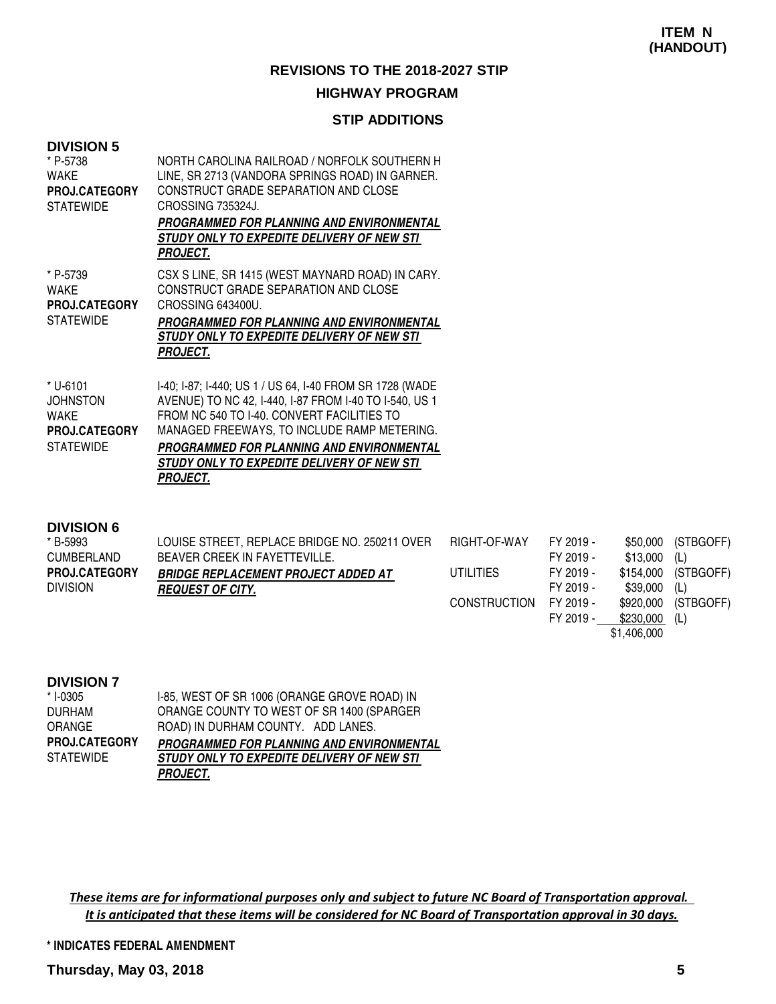#### **HIGHWAY PROGRAM**

#### **STIP ADDITIONS**

| <b>DIVISION 5</b><br>* P-5738<br><b>WAKE</b><br>PROJ.CATEGORY<br><b>STATEWIDE</b> | NORTH CAROLINA RAILROAD / NORFOLK SOUTHERN H<br>LINE, SR 2713 (VANDORA SPRINGS ROAD) IN GARNER.<br>CONSTRUCT GRADE SEPARATION AND CLOSE<br>CROSSING 735324J. |
|-----------------------------------------------------------------------------------|--------------------------------------------------------------------------------------------------------------------------------------------------------------|
|                                                                                   | PROGRAMMED FOR PLANNING AND ENVIRONMENTAL<br><i>STUDY ONLY TO EXPEDITE DELIVERY OF NEW STI</i><br>PROJECT.                                                   |
| * P-5739<br><b>WAKE</b><br>PROJ.CATEGORY<br><b>STATEWIDE</b>                      | CSX S LINE, SR 1415 (WEST MAYNARD ROAD) IN CARY.<br>CONSTRUCT GRADE SEPARATION AND CLOSE<br>CROSSING 643400U.<br>PROGRAMMED FOR PLANNING AND ENVIRONMENTAL   |
|                                                                                   | STUDY ONLY TO EXPEDITE DELIVERY OF NEW STI<br>PROJECT.                                                                                                       |
| * U-6101<br><b>JOHNSTON</b><br><b>WAKE</b>                                        | I-40; I-87; I-440; US 1 / US 64, I-40 FROM SR 1728 (WADE<br>AVENUE) TO NC 42, I-440, I-87 FROM I-40 TO I-540, US 1                                           |
| <b>PROJ.CATEGORY</b>                                                              | FROM NC 540 TO I-40. CONVERT FACILITIES TO<br>MANAGED FREEWAYS, TO INCLUDE RAMP METERING.                                                                    |

#### **DIVISION 6**

| * B-5993             | LOUISE STREET, REPLACE BRIDGE NO. 250211 OVER | RIGHT-OF-WAY        | FY 2019 - |           | \$50,000 (STBGOFF)  |
|----------------------|-----------------------------------------------|---------------------|-----------|-----------|---------------------|
| <b>CUMBERLAND</b>    | BEAVER CREEK IN FAYETTEVILLE.                 |                     | FY 2019 - | \$13.000  | (L)                 |
| <b>PROJ.CATEGORY</b> | <b>BRIDGE REPLACEMENT PROJECT ADDED AT</b>    | UTILITIES           | FY 2019 - |           | \$154,000 (STBGOFF) |
| <b>DIVISION</b>      | <i><b>REQUEST OF CITY.</b></i>                |                     | FY 2019 - | \$39.000  | (L)                 |
|                      |                                               | <b>CONSTRUCTION</b> | FY 2019 - | \$920,000 | (STBGOFF)           |
|                      |                                               |                     | FY 2019 - | \$230,000 | (L)                 |

| * I-0305             | I-85, WEST OF SR 1006 (ORANGE GROVE ROAD) IN     |
|----------------------|--------------------------------------------------|
| <b>DURHAM</b>        | ORANGE COUNTY TO WEST OF SR 1400 (SPARGER        |
| ORANGE               | ROAD) IN DURHAM COUNTY. ADD LANES.               |
| <b>PROJ.CATEGORY</b> | <b>PROGRAMMED FOR PLANNING AND ENVIRONMENTAL</b> |
| <b>STATEWIDE</b>     | STUDY ONLY TO EXPEDITE DELIVERY OF NEW STI       |
|                      | <b>PROJECT.</b>                                  |

These items are for informational purposes only and subject to future NC Board of Transportation approval. It is anticipated that these items will be considered for NC Board of Transportation approval in 30 days.

**\* INDICATES FEDERAL AMENDMENT**

\$1,406,000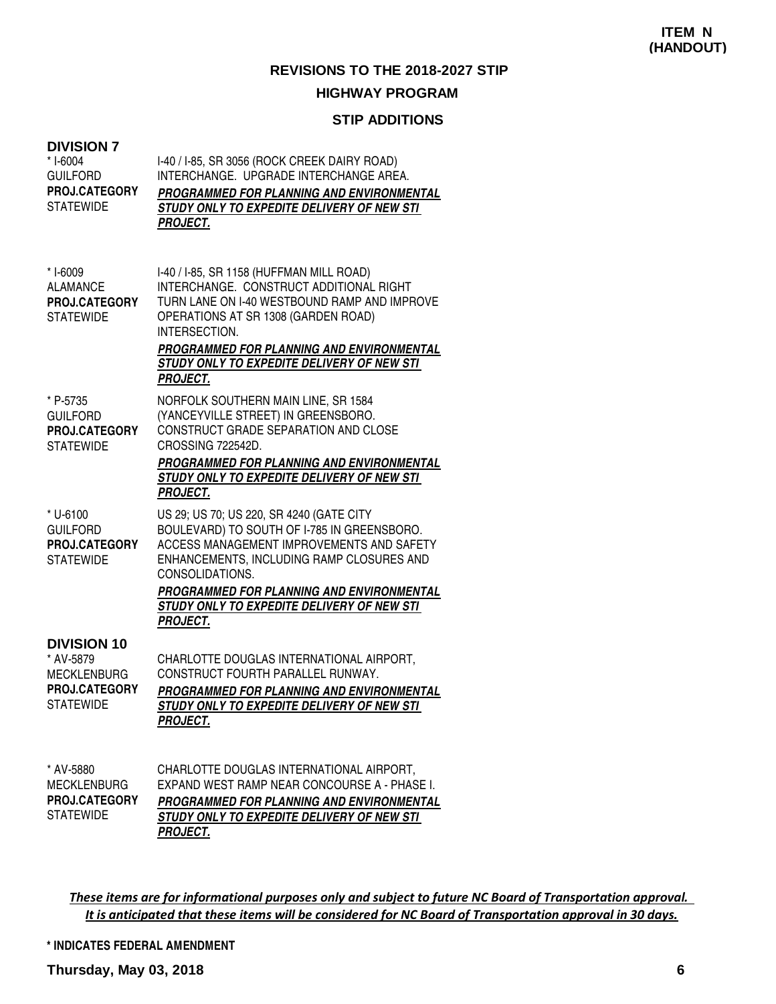#### **HIGHWAY PROGRAM**

#### **TIONS**

|                                                                                            | <b>STIP ADDITIONS</b>                                                                                                                                                                                                                                                                                              |
|--------------------------------------------------------------------------------------------|--------------------------------------------------------------------------------------------------------------------------------------------------------------------------------------------------------------------------------------------------------------------------------------------------------------------|
| <b>DIVISION 7</b><br>* I-6004<br><b>GUILFORD</b><br>PROJ.CATEGORY<br><b>STATEWIDE</b>      | I-40 / I-85, SR 3056 (ROCK CREEK DAIRY ROAD)<br>INTERCHANGE. UPGRADE INTERCHANGE AREA.<br>PROGRAMMED FOR PLANNING AND ENVIRONMENTAL<br>STUDY ONLY TO EXPEDITE DELIVERY OF NEW STI<br><b>PROJECT.</b>                                                                                                               |
| * I-6009<br><b>ALAMANCE</b><br><b>PROJ.CATEGORY</b><br><b>STATEWIDE</b>                    | I-40 / I-85, SR 1158 (HUFFMAN MILL ROAD)<br>INTERCHANGE. CONSTRUCT ADDITIONAL RIGHT<br>TURN LANE ON 1-40 WESTBOUND RAMP AND IMPROVE<br>OPERATIONS AT SR 1308 (GARDEN ROAD)<br>INTERSECTION.<br><b>PROGRAMMED FOR PLANNING AND ENVIRONMENTAL</b><br>STUDY ONLY TO EXPEDITE DELIVERY OF NEW STI<br><b>PROJECT.</b>   |
| * P-5735<br><b>GUILFORD</b><br>PROJ.CATEGORY<br><b>STATEWIDE</b>                           | NORFOLK SOUTHERN MAIN LINE, SR 1584<br>(YANCEYVILLE STREET) IN GREENSBORO.<br>CONSTRUCT GRADE SEPARATION AND CLOSE<br>CROSSING 722542D.<br><b>PROGRAMMED FOR PLANNING AND ENVIRONMENTAL</b><br>STUDY ONLY TO EXPEDITE DELIVERY OF NEW STI<br><b>PROJECT.</b>                                                       |
| * U-6100<br><b>GUILFORD</b><br>PROJ.CATEGORY<br><b>STATEWIDE</b>                           | US 29; US 70; US 220, SR 4240 (GATE CITY<br>BOULEVARD) TO SOUTH OF 1-785 IN GREENSBORO.<br>ACCESS MANAGEMENT IMPROVEMENTS AND SAFETY<br>ENHANCEMENTS, INCLUDING RAMP CLOSURES AND<br>CONSOLIDATIONS.<br>PROGRAMMED FOR PLANNING AND ENVIRONMENTAL<br>STUDY ONLY TO EXPEDITE DELIVERY OF NEW STI<br><b>PROJECT.</b> |
| <b>DIVISION 10</b><br>* AV-5879<br><b>MECKLENBURG</b><br>PROJ.CATEGORY<br><b>STATEWIDE</b> | CHARLOTTE DOUGLAS INTERNATIONAL AIRPORT,<br>CONSTRUCT FOURTH PARALLEL RUNWAY.<br>PROGRAMMED FOR PLANNING AND ENVIRONMENTAL<br>STUDY ONLY TO EXPEDITE DELIVERY OF NEW STI<br><b>PROJECT.</b>                                                                                                                        |
| * AV-5880<br><b>MECKLENBURG</b><br><b>PROJ.CATEGORY</b>                                    | CHARLOTTE DOUGLAS INTERNATIONAL AIRPORT,<br>EXPAND WEST RAMP NEAR CONCOURSE A - PHASE I.<br>PROGRAMMED FOR PLANNING AND ENVIRONMENTAL                                                                                                                                                                              |

These items are for informational purposes only and subject to future NC Board of Transportation approval. It is anticipated that these items will be considered for NC Board of Transportation approval in 30 days.

**STUDY ONLY TO EXPEDITE DELIVERY OF NEW STI** 

**\* INDICATES FEDERAL AMENDMENT**

**PROJECT.**

**STATEWIDE**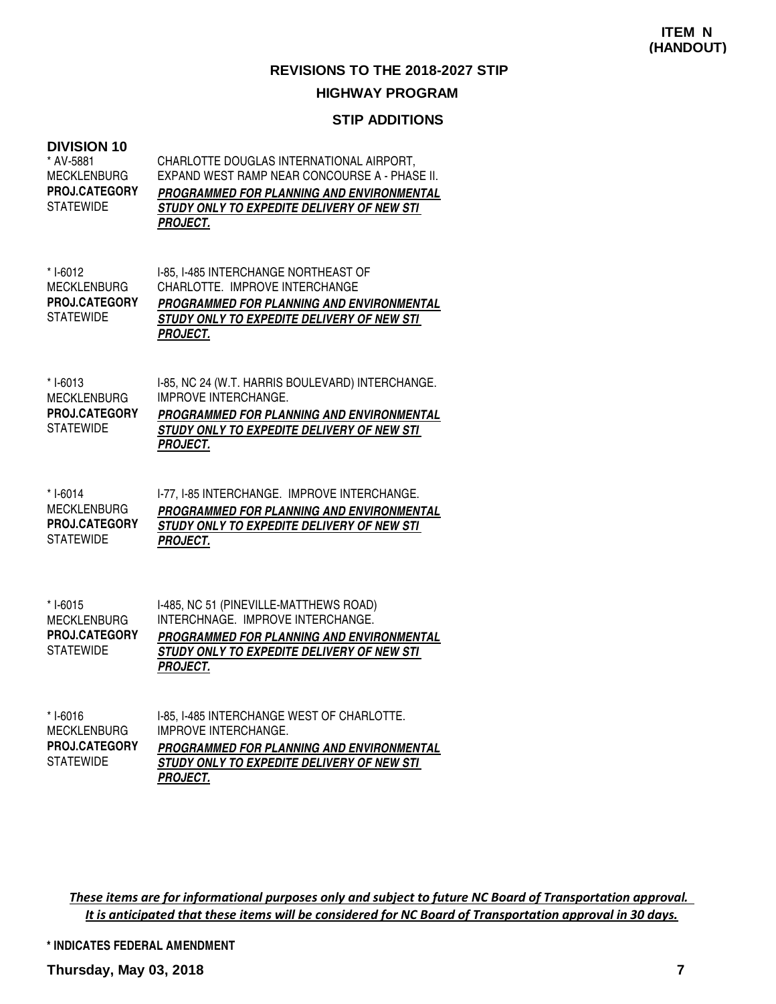### **STIP ADDITIONS**

| <b>DIVISION 10</b><br>* AV-5881<br>MECKLENBURG<br><b>PROJ.CATEGORY</b><br>STATEWIDE | CHARLOTTE DOUGLAS INTERNATIONAL AIRPORT,<br>EXPAND WEST RAMP NEAR CONCOURSE A - PHASE II.<br>PROGRAMMED FOR PLANNING AND ENVIRONMENTAL<br>STUDY ONLY TO EXPEDITE DELIVERY OF NEW STI<br><b>PROJECT.</b> |
|-------------------------------------------------------------------------------------|---------------------------------------------------------------------------------------------------------------------------------------------------------------------------------------------------------|
| * I-6012<br>MECKLENBURG<br><b>PROJ.CATEGORY</b><br>STATEWIDE                        | I-85, I-485 INTERCHANGE NORTHEAST OF<br>CHARLOTTE. IMPROVE INTERCHANGE<br>PROGRAMMED FOR PLANNING AND ENVIRONMENTAL<br>STUDY ONLY TO EXPEDITE DELIVERY OF NEW STI<br><b>PROJECT.</b>                    |
| * I-6013<br><b>MECKLENBURG</b><br><b>PROJ.CATEGORY</b><br><b>STATEWIDE</b>          | I-85, NC 24 (W.T. HARRIS BOULEVARD) INTERCHANGE.<br><b>IMPROVE INTERCHANGE.</b><br>PROGRAMMED FOR PLANNING AND ENVIRONMENTAL<br>STUDY ONLY TO EXPEDITE DELIVERY OF NEW STI<br><b>PROJECT.</b>           |
| * I-6014<br><b>MECKLENBURG</b><br><b>PROJ.CATEGORY</b><br>STATEWIDE                 | I-77, I-85 INTERCHANGE. IMPROVE INTERCHANGE.<br>PROGRAMMED FOR PLANNING AND ENVIRONMENTAL<br>STUDY ONLY TO EXPEDITE DELIVERY OF NEW STI<br><b>PROJECT.</b>                                              |
| * I-6015<br><b>MECKLENBURG</b><br><b>PROJ.CATEGORY</b><br><b>STATEWIDE</b>          | I-485, NC 51 (PINEVILLE-MATTHEWS ROAD)<br>INTERCHNAGE. IMPROVE INTERCHANGE.<br>PROGRAMMED FOR PLANNING AND ENVIRONMENTAL<br>STUDY ONLY TO EXPEDITE DELIVERY OF NEW STI<br><b>PROJECT.</b>               |
| * I-6016<br><b>MECKLENBURG</b><br><b>PROJ.CATEGORY</b><br><b>STATEWIDE</b>          | I-85, I-485 INTERCHANGE WEST OF CHARLOTTE.<br><b>IMPROVE INTERCHANGE.</b><br><b>PROGRAMMED FOR PLANNING AND ENVIRONMENTAL</b><br>STUDY ONLY TO EXPEDITE DELIVERY OF NEW STI<br><b>PROJECT.</b>          |

These items are for informational purposes only and subject to future NC Board of Transportation approval. It is anticipated that these items will be considered for NC Board of Transportation approval in 30 days.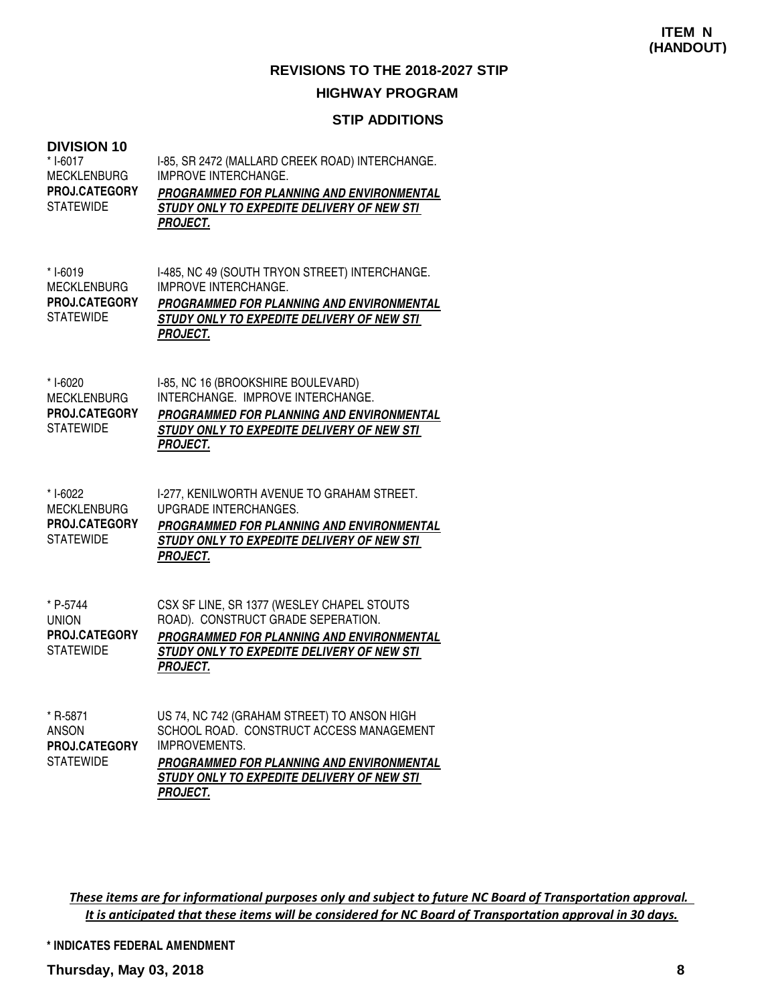#### **HIGHWAY PROGRAM**

#### **STIP ADDITIONS**

#### **DIVISION 10**

| * I-6017<br><b>MECKLENBURG</b><br>PROJ.CATEGORY<br><b>STATEWIDE</b>        | I-85, SR 2472 (MALLARD CREEK ROAD) INTERCHANGE.<br><b>IMPROVE INTERCHANGE.</b><br><b>PROGRAMMED FOR PLANNING AND ENVIRONMENTAL</b><br>STUDY ONLY TO EXPEDITE DELIVERY OF NEW STI<br><b>PROJECT.</b>               |
|----------------------------------------------------------------------------|-------------------------------------------------------------------------------------------------------------------------------------------------------------------------------------------------------------------|
| * I-6019<br><b>MECKLENBURG</b><br><b>PROJ.CATEGORY</b><br><b>STATEWIDE</b> | I-485, NC 49 (SOUTH TRYON STREET) INTERCHANGE.<br><b>IMPROVE INTERCHANGE.</b><br>PROGRAMMED FOR PLANNING AND ENVIRONMENTAL<br>STUDY ONLY TO EXPEDITE DELIVERY OF NEW STI<br><b>PROJECT.</b>                       |
| * I-6020<br><b>MECKLENBURG</b><br>PROJ.CATEGORY<br><b>STATEWIDE</b>        | I-85, NC 16 (BROOKSHIRE BOULEVARD)<br>INTERCHANGE. IMPROVE INTERCHANGE.<br>PROGRAMMED FOR PLANNING AND ENVIRONMENTAL<br>STUDY ONLY TO EXPEDITE DELIVERY OF NEW STI<br><b>PROJECT.</b>                             |
| * I-6022<br><b>MECKLENBURG</b><br>PROJ.CATEGORY<br><b>STATEWIDE</b>        | I-277, KENILWORTH AVENUE TO GRAHAM STREET.<br><b>UPGRADE INTERCHANGES.</b><br>PROGRAMMED FOR PLANNING AND ENVIRONMENTAL<br>STUDY ONLY TO EXPEDITE DELIVERY OF NEW STI<br><b>PROJECT.</b>                          |
| * P-5744<br><b>UNION</b><br>PROJ.CATEGORY<br><b>STATEWIDE</b>              | CSX SF LINE, SR 1377 (WESLEY CHAPEL STOUTS<br>ROAD). CONSTRUCT GRADE SEPERATION.<br>PROGRAMMED FOR PLANNING AND ENVIRONMENTAL<br>STUDY ONLY TO EXPEDITE DELIVERY OF NEW STI<br><b>PROJECT.</b>                    |
| * R-5871<br><b>ANSON</b><br>PROJ.CATEGORY<br><b>STATEWIDE</b>              | US 74, NC 742 (GRAHAM STREET) TO ANSON HIGH<br>SCHOOL ROAD. CONSTRUCT ACCESS MANAGEMENT<br><b>IMPROVEMENTS.</b><br><b>PROGRAMMED FOR PLANNING AND ENVIRONMENTAL</b><br>STUDY ONLY TO EXPEDITE DELIVERY OF NEW STI |

These items are for informational purposes only and subject to future NC Board of Transportation approval. It is anticipated that these items will be considered for NC Board of Transportation approval in 30 days.

**\* INDICATES FEDERAL AMENDMENT**

**PROJECT.**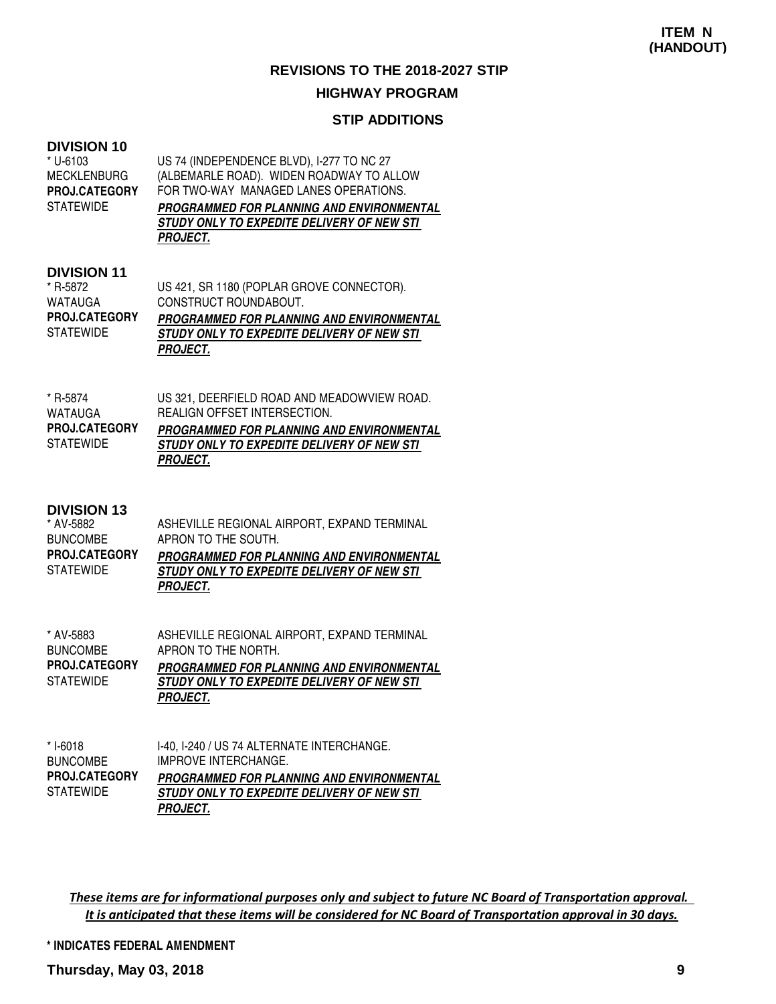#### **HIGHWAY PROGRAM**

#### **STIP ADDITIONS**

#### **DIVISION 10**

| US 74 (INDEPENDENCE BLVD), I-277 TO NC 27  |
|--------------------------------------------|
| (ALBEMARLE ROAD). WIDEN ROADWAY TO ALLOW   |
| FOR TWO-WAY MANAGED LANES OPERATIONS.      |
| PROGRAMMED FOR PLANNING AND ENVIRONMENTAL  |
| STUDY ONLY TO EXPEDITE DELIVERY OF NEW STI |
| <i><b>PROJECT.</b></i>                     |
|                                            |

#### **DIVISION 11**

| * R-5872             | US 421, SR 1180 (POPLAR GROVE CONNECTOR).  |
|----------------------|--------------------------------------------|
| <b>WATAUGA</b>       | CONSTRUCT ROUNDABOUT.                      |
| <b>PROJ.CATEGORY</b> | PROGRAMMED FOR PLANNING AND ENVIRONMENTAL  |
| <b>STATEWIDE</b>     | STUDY ONLY TO EXPEDITE DELIVERY OF NEW STI |
|                      | <b>PROJECT.</b>                            |

| * R-5874             | US 321, DEERFIELD ROAD AND MEADOWVIEW ROAD. |
|----------------------|---------------------------------------------|
| WATAUGA              | REALIGN OFFSET INTERSECTION.                |
| <b>PROJ.CATEGORY</b> | PROGRAMMED FOR PLANNING AND ENVIRONMENTAL   |
| <b>STATEWIDE</b>     | STUDY ONLY TO EXPEDITE DELIVERY OF NEW STI  |
|                      | <b>PROJECT.</b>                             |

#### **DIVISION 13**

| * AV-5882            | ASHEVILLE REGIONAL AIRPORT, EXPAND TERMINAL      |
|----------------------|--------------------------------------------------|
| <b>BUNCOMBE</b>      | APRON TO THE SOUTH.                              |
| <b>PROJ.CATEGORY</b> | <b>PROGRAMMED FOR PLANNING AND ENVIRONMENTAL</b> |
| <b>STATEWIDE</b>     | STUDY ONLY TO EXPEDITE DELIVERY OF NEW STI       |
|                      | <i>PROJECT.</i>                                  |

| * AV-5883            | ASHEVILLE REGIONAL AIRPORT. EXPAND TERMINAL      |
|----------------------|--------------------------------------------------|
| <b>BUNCOMBE</b>      | APRON TO THE NORTH.                              |
| <b>PROJ.CATEGORY</b> | <b>PROGRAMMED FOR PLANNING AND ENVIRONMENTAL</b> |
| STATEWIDE            | STUDY ONLY TO EXPEDITE DELIVERY OF NEW STI       |
|                      | <b>PROJECT.</b>                                  |

| * I-6018             | I-40, I-240 / US 74 ALTERNATE INTERCHANGE. |
|----------------------|--------------------------------------------|
| <b>BUNCOMBE</b>      | IMPROVE INTERCHANGE.                       |
| <b>PROJ.CATEGORY</b> | PROGRAMMED FOR PLANNING AND ENVIRONMENTAL  |
| <b>STATEWIDE</b>     | STUDY ONLY TO EXPEDITE DELIVERY OF NEW STI |
|                      | <i>PROJECT.</i>                            |

These items are for informational purposes only and subject to future NC Board of Transportation approval. It is anticipated that these items will be considered for NC Board of Transportation approval in 30 days.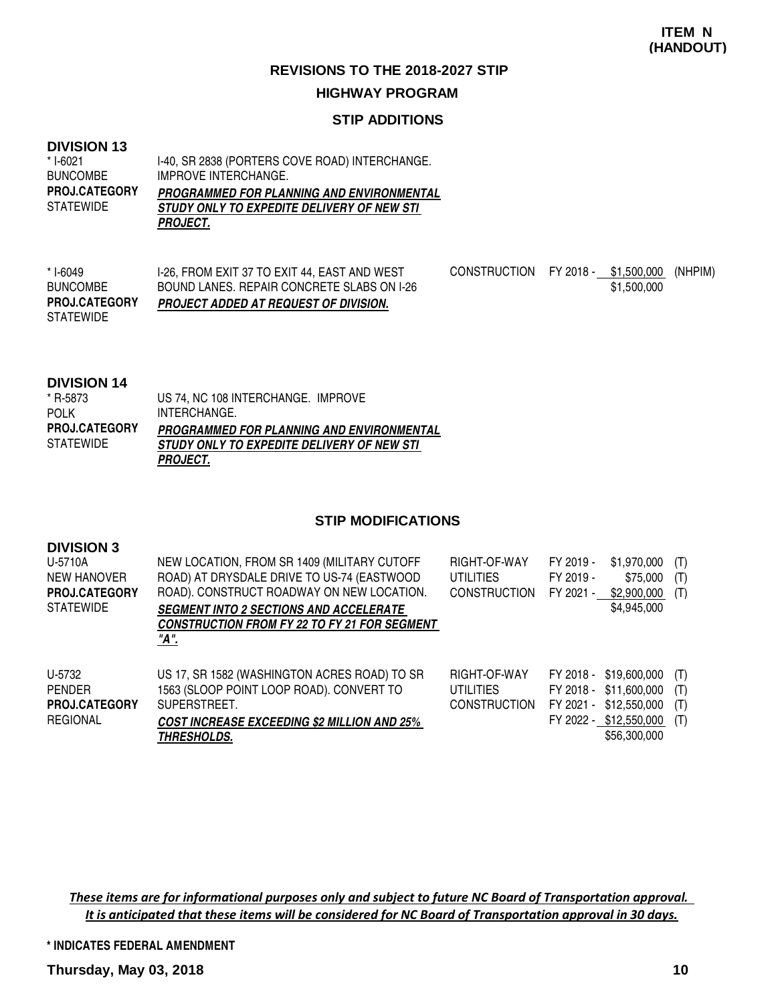#### **HIGHWAY PROGRAM**

#### **STIP ADDITIONS**

#### **DIVISION 13**

I-40, SR 2838 (PORTERS COVE ROAD) INTERCHANGE. IMPROVE INTERCHANGE. **PROGRAMMED FOR PLANNING AND ENVIRONMENTAL STUDY ONLY TO EXPEDITE DELIVERY OF NEW STI PROJECT.** \* I-6021 BUNCOMBE **STATEWIDE PROJ.CATEGORY**

I-26, FROM EXIT 37 TO EXIT 44, EAST AND WEST BOUND LANES. REPAIR CONCRETE SLABS ON I-26 **PROJECT ADDED AT REQUEST OF DIVISION.** CONSTRUCTION FY 2018 - \$1,500,000 (NHPIM) \$1,500,000 \* I-6049 BUNCOMBE **STATEWIDE PROJ.CATEGORY**

#### **DIVISION 14**

| <b>PIVIOUT 14</b>    |                                            |
|----------------------|--------------------------------------------|
| * R-5873             | US 74, NC 108 INTERCHANGE, IMPROVE         |
| <b>POLK</b>          | INTERCHANGE.                               |
| <b>PROJ.CATEGORY</b> | PROGRAMMED FOR PLANNING AND ENVIRONMENTAL  |
| <b>STATEWIDE</b>     | STUDY ONLY TO EXPEDITE DELIVERY OF NEW STI |
|                      | <b>PROJECT.</b>                            |

#### **STIP MODIFICATIONS**

| <b>DIVISION 3</b><br>U-5710A<br><b>NEW HANOVER</b><br><b>PROJ.CATEGORY</b><br><b>STATEWIDE</b> | NEW LOCATION, FROM SR 1409 (MILITARY CUTOFF<br>ROAD) AT DRYSDALE DRIVE TO US-74 (EASTWOOD<br>ROAD). CONSTRUCT ROADWAY ON NEW LOCATION.<br><b>SEGMENT INTO 2 SECTIONS AND ACCELERATE</b><br><b>CONSTRUCTION FROM FY 22 TO FY 21 FOR SEGMENT</b><br>"A". | RIGHT-OF-WAY<br><b>UTILITIES</b><br><b>CONSTRUCTION</b> | FY 2019 -<br>FY 2019 -<br>FY 2021 -              | \$1,970,000<br>\$75,000<br>\$2,900,000<br>\$4,945,000                        | (T)<br>(T)<br>(T)        |
|------------------------------------------------------------------------------------------------|--------------------------------------------------------------------------------------------------------------------------------------------------------------------------------------------------------------------------------------------------------|---------------------------------------------------------|--------------------------------------------------|------------------------------------------------------------------------------|--------------------------|
| U-5732<br><b>PENDER</b><br><b>PROJ.CATEGORY</b><br><b>REGIONAL</b>                             | US 17, SR 1582 (WASHINGTON ACRES ROAD) TO SR<br>1563 (SLOOP POINT LOOP ROAD). CONVERT TO<br>SUPERSTREET.<br><b>COST INCREASE EXCEEDING \$2 MILLION AND 25%</b><br><b>THRESHOLDS.</b>                                                                   | RIGHT-OF-WAY<br><b>UTILITIES</b><br><b>CONSTRUCTION</b> | FY 2018 -<br>FY 2018 -<br>FY 2021 -<br>FY 2022 - | \$19,600,000<br>\$11,600,000<br>\$12,550,000<br>\$12,550,000<br>\$56,300,000 | (T)<br>(T)<br>(T)<br>(T) |

These items are for informational purposes only and subject to future NC Board of Transportation approval. It is anticipated that these items will be considered for NC Board of Transportation approval in 30 days.

**\* INDICATES FEDERAL AMENDMENT**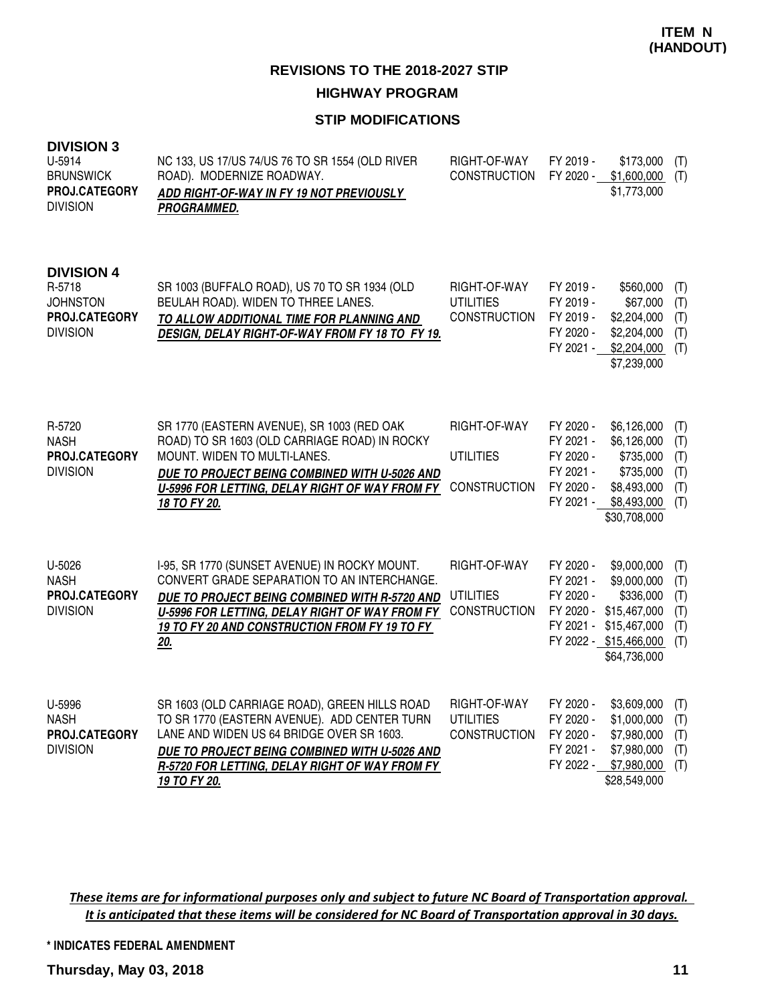#### **STIP MODIFICATIONS**

| <b>DIVISION 3</b><br>U-5914<br><b>BRUNSWICK</b><br>PROJ.CATEGORY<br><b>DIVISION</b> | NC 133, US 17/US 74/US 76 TO SR 1554 (OLD RIVER<br>ROAD). MODERNIZE ROADWAY.<br>ADD RIGHT-OF-WAY IN FY 19 NOT PREVIOUSLY<br>PROGRAMMED.                                                                                                                       | RIGHT-OF-WAY<br><b>CONSTRUCTION</b>                     | FY 2019 -<br>FY 2020 -                                                     | \$173,000<br>\$1,600,000<br>\$1,773,000                                                                           | (T)<br>(T)                             |
|-------------------------------------------------------------------------------------|---------------------------------------------------------------------------------------------------------------------------------------------------------------------------------------------------------------------------------------------------------------|---------------------------------------------------------|----------------------------------------------------------------------------|-------------------------------------------------------------------------------------------------------------------|----------------------------------------|
| <b>DIVISION 4</b><br>R-5718<br><b>JOHNSTON</b><br>PROJ.CATEGORY<br><b>DIVISION</b>  | SR 1003 (BUFFALO ROAD), US 70 TO SR 1934 (OLD<br>BEULAH ROAD). WIDEN TO THREE LANES.<br>TO ALLOW ADDITIONAL TIME FOR PLANNING AND<br>DESIGN, DELAY RIGHT-OF-WAY FROM FY 18 TO FY 19.                                                                          | RIGHT-OF-WAY<br><b>UTILITIES</b><br><b>CONSTRUCTION</b> | FY 2019 -<br>FY 2019 -<br>FY 2019 -<br>FY 2020 -<br>FY 2021 -              | \$560,000<br>\$67,000<br>\$2,204,000<br>\$2,204,000<br>\$2,204,000<br>\$7,239,000                                 | (T)<br>(T)<br>(T)<br>(T)<br>(T)        |
| R-5720<br><b>NASH</b><br>PROJ.CATEGORY<br><b>DIVISION</b>                           | SR 1770 (EASTERN AVENUE), SR 1003 (RED OAK<br>ROAD) TO SR 1603 (OLD CARRIAGE ROAD) IN ROCKY<br>MOUNT. WIDEN TO MULTI-LANES.<br>DUE TO PROJECT BEING COMBINED WITH U-5026 AND<br>U-5996 FOR LETTING, DELAY RIGHT OF WAY FROM FY<br>18 TO FY 20.                | RIGHT-OF-WAY<br><b>UTILITIES</b><br><b>CONSTRUCTION</b> | FY 2020 -<br>FY 2021 -<br>FY 2020 -<br>FY 2021 -<br>FY 2020 -<br>FY 2021 - | \$6,126,000<br>\$6,126,000<br>\$735,000<br>\$735,000<br>\$8,493,000<br>\$8,493,000<br>\$30,708,000                | (T)<br>(T)<br>(T)<br>(T)<br>(T)<br>(T) |
| U-5026<br><b>NASH</b><br>PROJ.CATEGORY<br><b>DIVISION</b>                           | I-95, SR 1770 (SUNSET AVENUE) IN ROCKY MOUNT.<br>CONVERT GRADE SEPARATION TO AN INTERCHANGE.<br>DUE TO PROJECT BEING COMBINED WITH R-5720 AND<br>U-5996 FOR LETTING, DELAY RIGHT OF WAY FROM FY<br>19 TO FY 20 AND CONSTRUCTION FROM FY 19 TO FY<br>20.       | RIGHT-OF-WAY<br><b>UTILITIES</b><br><b>CONSTRUCTION</b> | FY 2020 -<br>FY 2021 -<br>FY 2020 -<br>FY 2020 -<br>FY 2021 -              | \$9,000,000<br>\$9,000,000<br>\$336,000<br>\$15,467,000<br>\$15,467,000<br>FY 2022 - \$15,466,000<br>\$64,736,000 | (T)<br>(T)<br>(T)<br>(T)<br>(T)<br>(T) |
| U-5996<br><b>NASH</b><br>PROJ.CATEGORY<br><b>DIVISION</b>                           | SR 1603 (OLD CARRIAGE ROAD), GREEN HILLS ROAD<br>TO SR 1770 (EASTERN AVENUE). ADD CENTER TURN<br>LANE AND WIDEN US 64 BRIDGE OVER SR 1603.<br>DUE TO PROJECT BEING COMBINED WITH U-5026 AND<br>R-5720 FOR LETTING, DELAY RIGHT OF WAY FROM FY<br>19 TO FY 20. | RIGHT-OF-WAY<br><b>UTILITIES</b><br><b>CONSTRUCTION</b> | FY 2020 -<br>FY 2020 -<br>FY 2020 -<br>FY 2021 -<br>FY 2022 -              | \$3,609,000<br>\$1,000,000<br>\$7,980,000<br>\$7,980,000<br>\$7,980,000<br>\$28,549,000                           | (T)<br>(T)<br>(T)<br>(T)<br>(T)        |

These items are for informational purposes only and subject to future NC Board of Transportation approval. It is anticipated that these items will be considered for NC Board of Transportation approval in 30 days.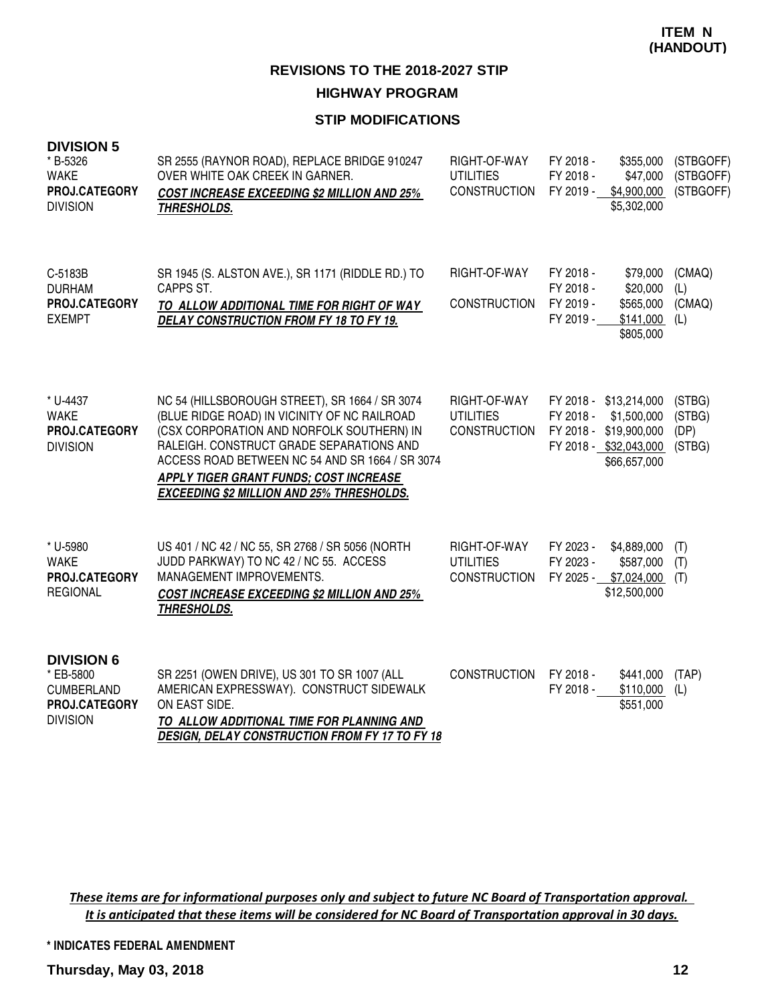#### **STIP MODIFICATIONS**

| <b>DIVISION 5</b><br>* B-5326<br><b>WAKE</b><br><b>PROJ.CATEGORY</b><br><b>DIVISION</b> | SR 2555 (RAYNOR ROAD), REPLACE BRIDGE 910247<br>OVER WHITE OAK CREEK IN GARNER.<br><b>COST INCREASE EXCEEDING \$2 MILLION AND 25%</b><br><b>THRESHOLDS.</b>                                                                                                                                                                              | RIGHT-OF-WAY<br><b>UTILITIES</b><br><b>CONSTRUCTION</b> | FY 2018 -<br>\$355,000<br>FY 2018 -<br>\$47,000<br>\$4,900,000<br>FY 2019 -<br>\$5,302,000                             | (STBGOFF)<br>(STBGOFF)<br>(STBGOFF) |
|-----------------------------------------------------------------------------------------|------------------------------------------------------------------------------------------------------------------------------------------------------------------------------------------------------------------------------------------------------------------------------------------------------------------------------------------|---------------------------------------------------------|------------------------------------------------------------------------------------------------------------------------|-------------------------------------|
| C-5183B<br><b>DURHAM</b><br>PROJ.CATEGORY<br><b>EXEMPT</b>                              | SR 1945 (S. ALSTON AVE.), SR 1171 (RIDDLE RD.) TO<br>CAPPS ST.<br>TO ALLOW ADDITIONAL TIME FOR RIGHT OF WAY<br>DELAY CONSTRUCTION FROM FY 18 TO FY 19.                                                                                                                                                                                   | RIGHT-OF-WAY<br><b>CONSTRUCTION</b>                     | FY 2018 -<br>\$79,000<br>FY 2018 -<br>\$20,000<br>FY 2019 -<br>\$565,000<br>FY 2019 -<br>\$141,000<br>\$805,000        | (CMAQ)<br>(L)<br>(CMAQ)<br>(L)      |
| * U-4437<br><b>WAKE</b><br>PROJ.CATEGORY<br><b>DIVISION</b>                             | NC 54 (HILLSBOROUGH STREET), SR 1664 / SR 3074<br>(BLUE RIDGE ROAD) IN VICINITY OF NC RAILROAD<br>(CSX CORPORATION AND NORFOLK SOUTHERN) IN<br>RALEIGH. CONSTRUCT GRADE SEPARATIONS AND<br>ACCESS ROAD BETWEEN NC 54 AND SR 1664 / SR 3074<br>APPLY TIGER GRANT FUNDS; COST INCREASE<br><b>EXCEEDING \$2 MILLION AND 25% THRESHOLDS.</b> | RIGHT-OF-WAY<br><b>UTILITIES</b><br><b>CONSTRUCTION</b> | FY 2018 - \$13,214,000<br>FY 2018 -<br>\$1,500,000<br>FY 2018 - \$19,900,000<br>FY 2018 - \$32,043,000<br>\$66,657,000 | (STBG)<br>(STBG)<br>(DP)<br>(STBG)  |
| * U-5980<br><b>WAKE</b><br>PROJ.CATEGORY<br><b>REGIONAL</b>                             | US 401 / NC 42 / NC 55, SR 2768 / SR 5056 (NORTH<br>JUDD PARKWAY) TO NC 42 / NC 55. ACCESS<br>MANAGEMENT IMPROVEMENTS.<br><b>COST INCREASE EXCEEDING \$2 MILLION AND 25%</b><br><b>THRESHOLDS.</b>                                                                                                                                       | RIGHT-OF-WAY<br><b>UTILITIES</b><br><b>CONSTRUCTION</b> | FY 2023 -<br>\$4,889,000<br>FY 2023 -<br>\$587,000<br>FY 2025 -<br>\$7,024,000<br>\$12,500,000                         | (T)<br>(T)<br>(T)                   |
| <b>DIVISION 6</b><br>* EB-5800<br><b>CUMBERLAND</b><br>PROJ.CATEGORY<br><b>DIVISION</b> | SR 2251 (OWEN DRIVE), US 301 TO SR 1007 (ALL<br>AMERICAN EXPRESSWAY). CONSTRUCT SIDEWALK<br>ON EAST SIDE.<br>TO ALLOW ADDITIONAL TIME FOR PLANNING AND<br>DESIGN, DELAY CONSTRUCTION FROM FY 17 TO FY 18                                                                                                                                 | <b>CONSTRUCTION</b>                                     | FY 2018 -<br>\$441,000<br>FY 2018 -<br>\$110,000<br>\$551,000                                                          | (TAP)<br>(L)                        |

These items are for informational purposes only and subject to future NC Board of Transportation approval. It is anticipated that these items will be considered for NC Board of Transportation approval in 30 days.

**\* INDICATES FEDERAL AMENDMENT**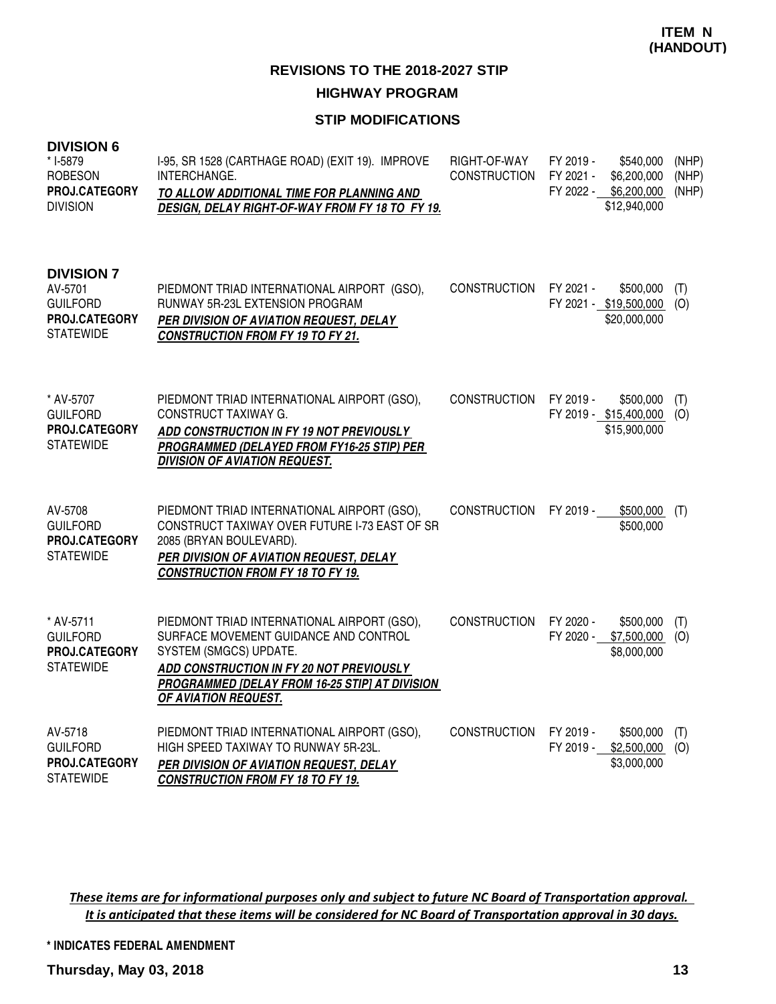#### **STIP MODIFICATIONS**

| <b>DIVISION 6</b><br>* I-5879<br><b>ROBESON</b><br>PROJ.CATEGORY<br><b>DIVISION</b>  | I-95, SR 1528 (CARTHAGE ROAD) (EXIT 19). IMPROVE<br>INTERCHANGE.<br>TO ALLOW ADDITIONAL TIME FOR PLANNING AND<br>DESIGN, DELAY RIGHT-OF-WAY FROM FY 18 TO FY 19.                                                                     | RIGHT-OF-WAY<br><b>CONSTRUCTION</b> | FY 2019 -<br>\$540,000<br>FY 2021 -<br>\$6,200,000<br>FY 2022 - \$6,200,000<br>\$12,940,000 | (NHP)<br>(NHP)<br>(NHP) |
|--------------------------------------------------------------------------------------|--------------------------------------------------------------------------------------------------------------------------------------------------------------------------------------------------------------------------------------|-------------------------------------|---------------------------------------------------------------------------------------------|-------------------------|
| <b>DIVISION 7</b><br>AV-5701<br><b>GUILFORD</b><br>PROJ.CATEGORY<br><b>STATEWIDE</b> | PIEDMONT TRIAD INTERNATIONAL AIRPORT (GSO),<br>RUNWAY 5R-23L EXTENSION PROGRAM<br>PER DIVISION OF AVIATION REQUEST, DELAY<br><b>CONSTRUCTION FROM FY 19 TO FY 21.</b>                                                                | <b>CONSTRUCTION</b>                 | FY 2021 -<br>\$500,000<br>FY 2021 - \$19,500,000<br>\$20,000,000                            | (T)<br>(O)              |
| * AV-5707<br><b>GUILFORD</b><br>PROJ.CATEGORY<br><b>STATEWIDE</b>                    | PIEDMONT TRIAD INTERNATIONAL AIRPORT (GSO),<br><b>CONSTRUCT TAXIWAY G.</b><br>ADD CONSTRUCTION IN FY 19 NOT PREVIOUSLY<br>PROGRAMMED (DELAYED FROM FY16-25 STIP) PER<br><b>DIVISION OF AVIATION REQUEST.</b>                         | <b>CONSTRUCTION</b>                 | FY 2019 -<br>\$500,000<br>FY 2019 - \$15,400,000<br>\$15,900,000                            | (T)<br>(O)              |
| AV-5708<br><b>GUILFORD</b><br>PROJ.CATEGORY<br><b>STATEWIDE</b>                      | PIEDMONT TRIAD INTERNATIONAL AIRPORT (GSO),<br>CONSTRUCT TAXIWAY OVER FUTURE I-73 EAST OF SR<br>2085 (BRYAN BOULEVARD).<br>PER DIVISION OF AVIATION REQUEST, DELAY<br><b>CONSTRUCTION FROM FY 18 TO FY 19.</b>                       | <b>CONSTRUCTION</b>                 | FY 2019 -<br>$$500,000$ (T)<br>\$500,000                                                    |                         |
| * AV-5711<br><b>GUILFORD</b><br>PROJ.CATEGORY<br><b>STATEWIDE</b>                    | PIEDMONT TRIAD INTERNATIONAL AIRPORT (GSO),<br>SURFACE MOVEMENT GUIDANCE AND CONTROL<br>SYSTEM (SMGCS) UPDATE.<br>ADD CONSTRUCTION IN FY 20 NOT PREVIOUSLY<br>PROGRAMMED [DELAY FROM 16-25 STIP] AT DIVISION<br>OF AVIATION REQUEST. | <b>CONSTRUCTION</b>                 | FY 2020 -<br>\$500,000<br>FY 2020 -<br>\$7,500,000<br>\$8,000,000                           | (T)<br>(O)              |
| AV-5718<br><b>GUILFORD</b><br>PROJ.CATEGORY<br><b>STATEWIDE</b>                      | PIEDMONT TRIAD INTERNATIONAL AIRPORT (GSO),<br>HIGH SPEED TAXIWAY TO RUNWAY 5R-23L.<br>PER DIVISION OF AVIATION REQUEST, DELAY<br><b>CONSTRUCTION FROM FY 18 TO FY 19.</b>                                                           | <b>CONSTRUCTION</b>                 | FY 2019 -<br>\$500,000<br>FY 2019 - \$2,500,000<br>\$3,000,000                              | (T)<br>(O)              |

These items are for informational purposes only and subject to future NC Board of Transportation approval. It is anticipated that these items will be considered for NC Board of Transportation approval in 30 days.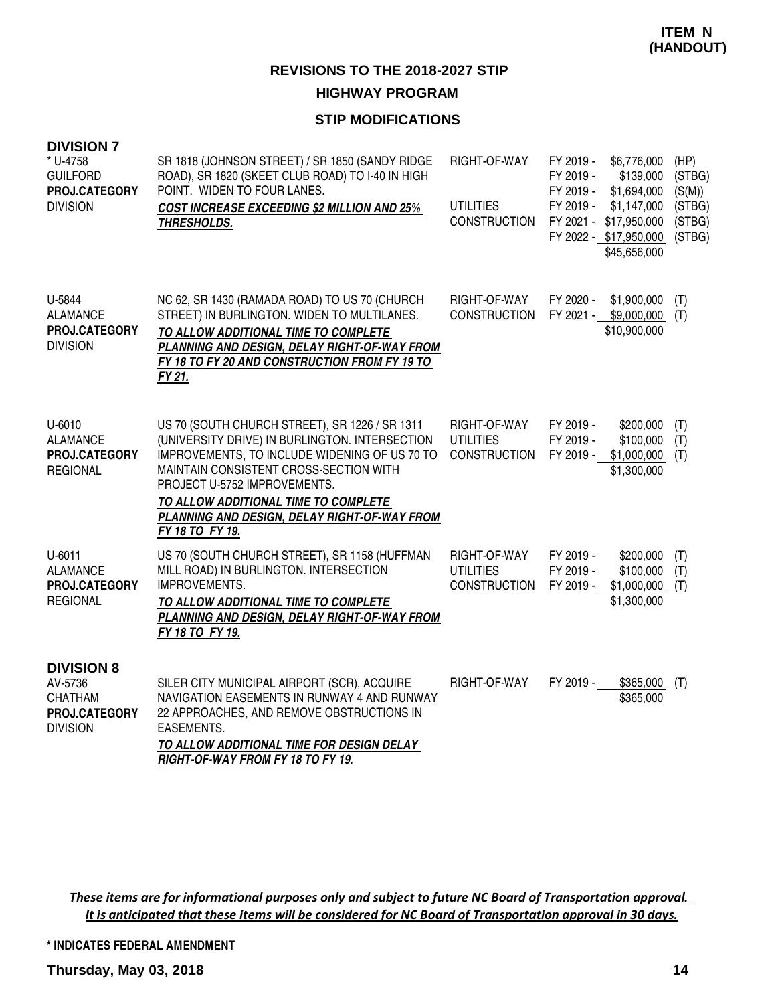#### **HIGHWAY PROGRAM**

#### **STIP MODIFICATIONS**

| <b>DIVISION 7</b><br>* U-4758<br><b>GUILFORD</b><br>PROJ.CATEGORY<br><b>DIVISION</b> | SR 1818 (JOHNSON STREET) / SR 1850 (SANDY RIDGE<br>ROAD), SR 1820 (SKEET CLUB ROAD) TO I-40 IN HIGH<br>POINT. WIDEN TO FOUR LANES.<br><b>COST INCREASE EXCEEDING \$2 MILLION AND 25%</b><br><b>THRESHOLDS.</b>                                                                                                                         | RIGHT-OF-WAY<br><b>UTILITIES</b><br><b>CONSTRUCTION</b> | FY 2019 -<br>FY 2019 -<br>FY 2019 -<br>FY 2019 -<br>FY 2021 - | \$6,776,000<br>\$139,000<br>\$1,694,000<br>\$1,147,000<br>\$17,950,000<br>FY 2022 - \$17,950,000<br>\$45,656,000 | (HP)<br>(STBG)<br>(S(M))<br>(STBG)<br>(STBG)<br>(STBG) |
|--------------------------------------------------------------------------------------|----------------------------------------------------------------------------------------------------------------------------------------------------------------------------------------------------------------------------------------------------------------------------------------------------------------------------------------|---------------------------------------------------------|---------------------------------------------------------------|------------------------------------------------------------------------------------------------------------------|--------------------------------------------------------|
| U-5844<br><b>ALAMANCE</b><br>PROJ.CATEGORY<br><b>DIVISION</b>                        | NC 62, SR 1430 (RAMADA ROAD) TO US 70 (CHURCH<br>STREET) IN BURLINGTON. WIDEN TO MULTILANES.<br>TO ALLOW ADDITIONAL TIME TO COMPLETE<br>PLANNING AND DESIGN, DELAY RIGHT-OF-WAY FROM<br>FY 18 TO FY 20 AND CONSTRUCTION FROM FY 19 TO<br>FY 21.                                                                                        | RIGHT-OF-WAY<br><b>CONSTRUCTION</b>                     | FY 2020 -                                                     | \$1,900,000<br>FY 2021 - \$9,000,000<br>\$10,900,000                                                             | (T)<br>(T)                                             |
| U-6010<br><b>ALAMANCE</b><br>PROJ.CATEGORY<br><b>REGIONAL</b>                        | US 70 (SOUTH CHURCH STREET), SR 1226 / SR 1311<br>(UNIVERSITY DRIVE) IN BURLINGTON. INTERSECTION<br>IMPROVEMENTS, TO INCLUDE WIDENING OF US 70 TO<br>MAINTAIN CONSISTENT CROSS-SECTION WITH<br>PROJECT U-5752 IMPROVEMENTS.<br>TO ALLOW ADDITIONAL TIME TO COMPLETE<br>PLANNING AND DESIGN, DELAY RIGHT-OF-WAY FROM<br>FY 18 TO FY 19. | RIGHT-OF-WAY<br><b>UTILITIES</b><br><b>CONSTRUCTION</b> | FY 2019 -<br>FY 2019 -<br>FY 2019 -                           | \$200,000<br>\$100,000<br>\$1,000,000<br>\$1,300,000                                                             | (T)<br>(T)<br>(T)                                      |
| $U-6011$<br><b>ALAMANCE</b><br>PROJ.CATEGORY<br><b>REGIONAL</b>                      | US 70 (SOUTH CHURCH STREET), SR 1158 (HUFFMAN<br>MILL ROAD) IN BURLINGTON. INTERSECTION<br>IMPROVEMENTS.<br>TO ALLOW ADDITIONAL TIME TO COMPLETE<br>PLANNING AND DESIGN, DELAY RIGHT-OF-WAY FROM<br>FY 18 TO FY 19.                                                                                                                    | RIGHT-OF-WAY<br><b>UTILITIES</b><br><b>CONSTRUCTION</b> | FY 2019 -<br>FY 2019 -<br>FY 2019 -                           | \$200,000<br>\$100,000<br>\$1,000,000<br>\$1,300,000                                                             | (T)<br>(T)<br>(T)                                      |
| <b>DIVISION 8</b><br>AV-5736<br><b>CHATHAM</b><br>PROJ.CATEGORY<br><b>DIVISION</b>   | SILER CITY MUNICIPAL AIRPORT (SCR), ACQUIRE<br>NAVIGATION EASEMENTS IN RUNWAY 4 AND RUNWAY<br>22 APPROACHES, AND REMOVE OBSTRUCTIONS IN<br>EASEMENTS.<br>TO ALLOW ADDITIONAL TIME FOR DESIGN DELAY<br>RIGHT-OF-WAY FROM FY 18 TO FY 19.                                                                                                | RIGHT-OF-WAY                                            | FY 2019 -                                                     | \$365,000<br>\$365,000                                                                                           | (T)                                                    |

These items are for informational purposes only and subject to future NC Board of Transportation approval. It is anticipated that these items will be considered for NC Board of Transportation approval in 30 days.

**\* INDICATES FEDERAL AMENDMENT**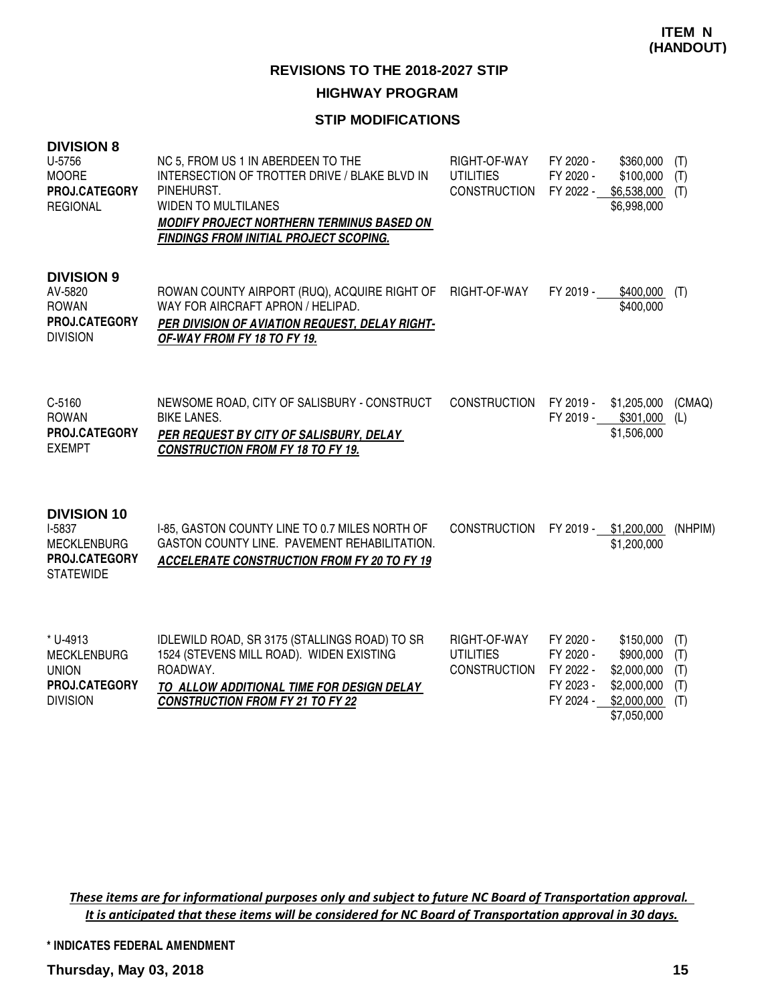## **HIGHWAY PROGRAM**

#### **STIP MODIFICATIONS**

| <b>DIVISION 8</b><br>U-5756<br><b>MOORE</b><br>PROJ.CATEGORY<br><b>REGIONAL</b>         | NC 5, FROM US 1 IN ABERDEEN TO THE<br>INTERSECTION OF TROTTER DRIVE / BLAKE BLVD IN<br>PINEHURST.<br><b>WIDEN TO MULTILANES</b><br><b>MODIFY PROJECT NORTHERN TERMINUS BASED ON</b><br><b>FINDINGS FROM INITIAL PROJECT SCOPING.</b> | RIGHT-OF-WAY<br><b>UTILITIES</b><br><b>CONSTRUCTION</b> | FY 2020 -<br>FY 2020 -                                        | \$360,000<br>\$100,000<br>FY 2022 - \$6,538,000 (T)<br>\$6,998,000                 | (T)<br>(T)                      |
|-----------------------------------------------------------------------------------------|--------------------------------------------------------------------------------------------------------------------------------------------------------------------------------------------------------------------------------------|---------------------------------------------------------|---------------------------------------------------------------|------------------------------------------------------------------------------------|---------------------------------|
| <b>DIVISION 9</b><br>AV-5820<br><b>ROWAN</b><br><b>PROJ.CATEGORY</b><br><b>DIVISION</b> | ROWAN COUNTY AIRPORT (RUQ), ACQUIRE RIGHT OF RIGHT-OF-WAY<br>WAY FOR AIRCRAFT APRON / HELIPAD.<br>PER DIVISION OF AVIATION REQUEST, DELAY RIGHT-<br>OF-WAY FROM FY 18 TO FY 19.                                                      |                                                         | FY 2019 -                                                     | \$400,000<br>\$400,000                                                             | (T)                             |
| C-5160<br><b>ROWAN</b><br>PROJ.CATEGORY<br><b>EXEMPT</b>                                | NEWSOME ROAD, CITY OF SALISBURY - CONSTRUCT<br><b>BIKE LANES.</b><br>PER REQUEST BY CITY OF SALISBURY, DELAY<br><b>CONSTRUCTION FROM FY 18 TO FY 19.</b>                                                                             | <b>CONSTRUCTION</b>                                     |                                                               | FY 2019 - \$1,205,000<br>FY 2019 - \$301,000<br>\$1,506,000                        | (CMAQ)<br>(L)                   |
| <b>DIVISION 10</b><br>I-5837<br><b>MECKLENBURG</b><br>PROJ.CATEGORY<br><b>STATEWIDE</b> | I-85, GASTON COUNTY LINE TO 0.7 MILES NORTH OF<br>GASTON COUNTY LINE. PAVEMENT REHABILITATION.<br><b>ACCELERATE CONSTRUCTION FROM FY 20 TO FY 19</b>                                                                                 | <b>CONSTRUCTION</b>                                     |                                                               | FY 2019 - \$1,200,000<br>\$1,200,000                                               | (NHPIM)                         |
| * U-4913<br><b>MECKLENBURG</b><br><b>UNION</b><br>PROJ.CATEGORY<br><b>DIVISION</b>      | IDLEWILD ROAD, SR 3175 (STALLINGS ROAD) TO SR<br>1524 (STEVENS MILL ROAD). WIDEN EXISTING<br>ROADWAY.<br>TO ALLOW ADDITIONAL TIME FOR DESIGN DELAY<br><b>CONSTRUCTION FROM FY 21 TO FY 22</b>                                        | RIGHT-OF-WAY<br><b>UTILITIES</b><br><b>CONSTRUCTION</b> | FY 2020 -<br>FY 2020 -<br>FY 2022 -<br>FY 2023 -<br>FY 2024 - | \$150,000<br>\$900,000<br>\$2,000,000<br>\$2,000,000<br>\$2,000,000<br>\$7,050,000 | (T)<br>(T)<br>(T)<br>(T)<br>(T) |

These items are for informational purposes only and subject to future NC Board of Transportation approval. It is anticipated that these items will be considered for NC Board of Transportation approval in 30 days.

**\* INDICATES FEDERAL AMENDMENT**